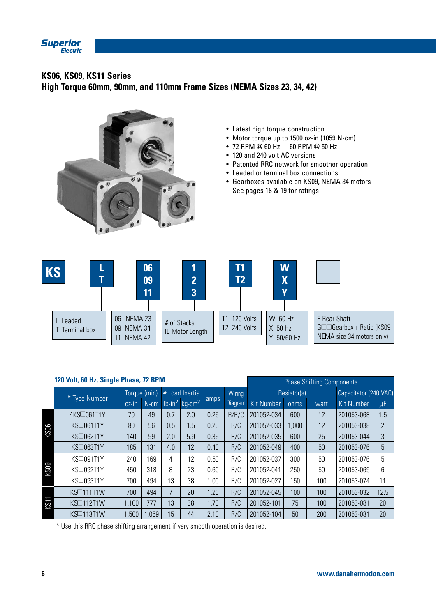

# **KS06, KS09, KS11 Series**

**High Torque 60mm, 90mm, and 110mm Frame Sizes (NEMA Sizes 23, 34, 42)**



- Latest high torque construction
- Motor torque up to 1500 oz-in (1059 N-cm)
- 72 RPM @ 60 Hz 60 RPM @ 50 Hz
- 120 and 240 volt AC versions
- Patented RRC network for smoother operation
- Leaded or terminal box connections
- Gearboxes available on KS09, NEMA 34 motors See pages 18 & 19 for ratings

| <b>KS</b>              | 06<br>09<br>11                            | $\overline{2}$<br>3            | Τ1<br>T2                  | W<br>$\mathbf X$<br>Y            |                                                                                    |
|------------------------|-------------------------------------------|--------------------------------|---------------------------|----------------------------------|------------------------------------------------------------------------------------|
| Leaded<br>Terminal box | NEMA 23<br>06<br>NEMA 34<br>09<br>NEMA 42 | # of Stacks<br>IE Motor Length | 120 Volts<br>T2 240 Volts | W 60 Hz<br>$X$ 50 Hz<br>50/60 Hz | E Rear Shaft<br>$G\square\Box G$ earbox + Ratio (KS09<br>NEMA size 34 motors only) |

|             | 120 Volt, 60 Hz, Single Phase, 72 RPM |              |         |                |                                          |      |                |                   | <b>Phase Shifting Components</b> |                       |                   |                |  |
|-------------|---------------------------------------|--------------|---------|----------------|------------------------------------------|------|----------------|-------------------|----------------------------------|-----------------------|-------------------|----------------|--|
|             | * Type Number                         | Torque (min) |         | # Load Inertia |                                          |      | Wiring         |                   | Resistor(s)                      | Capacitator (240 VAC) |                   |                |  |
|             |                                       | $OZ$ -in     | $N$ -cm |                | $lb$ -in <sup>2</sup> kg-cm <sup>2</sup> | amps | <b>Diagram</b> | <b>Kit Number</b> | ohms                             | watt                  | <b>Kit Number</b> | μF             |  |
|             | ^KS□061T1Y                            | 70           | 49      | 0.7            | 2.0                                      | 0.25 | R/R/C          | 201052-034        | 600                              | 12                    | 201053-068        | 1.5            |  |
| KS06        | KS□061T1Y                             | 80           | 56      | 0.5            | 1.5                                      | 0.25 | R/C            | 201052-033        | 1,000                            | 12                    | 201053-038        | $\overline{2}$ |  |
|             | KS□062T1Y                             | 140          | 99      | 2.0            | 5.9                                      | 0.35 | R/C            | 201052-035        | 600                              | 25                    | 201053-044        | 3              |  |
|             | KS□063T1Y                             | 185          | 131     | 4.0            | 12                                       | 0.40 | R/C            | 201052-049        | 400                              | 50                    | 201053-076        | 5              |  |
|             | KS□091T1Y                             | 240          | 169     | 4              | 12                                       | 0.50 | R/C            | 201052-037        | 300                              | 50                    | 201053-076        | 5              |  |
| <b>KS09</b> | KS□092T1Y                             | 450          | 318     | 8              | 23                                       | 0.60 | R/C            | 201052-041        | 250                              | 50                    | 201053-069        | 6              |  |
|             | KS□093T1Y                             | 700          | 494     | 13             | 38                                       | 1.00 | R/C            | 201052-027        | 150                              | 100                   | 201053-074        | 11             |  |
|             | KS□111T1W                             | 700          | 494     | $\overline{7}$ | 20                                       | 1.20 | R/C            | 201052-045        | 100                              | 100                   | 201053-032        | 12.5           |  |
| l<br>KST    | KS□112T1W                             | 1,100        | 777     | 13             | 38                                       | 1.70 | R/C            | 201052-101        | 75                               | 100                   | 201053-081        | 20             |  |
|             | KSD113T1W                             | 1,500        | 1,059   | 15             | 44                                       | 2.10 | R/C            | 201052-104        | 50                               | 200                   | 201053-081        | 20             |  |

^ Use this RRC phase shifting arrangement if very smooth operation is desired.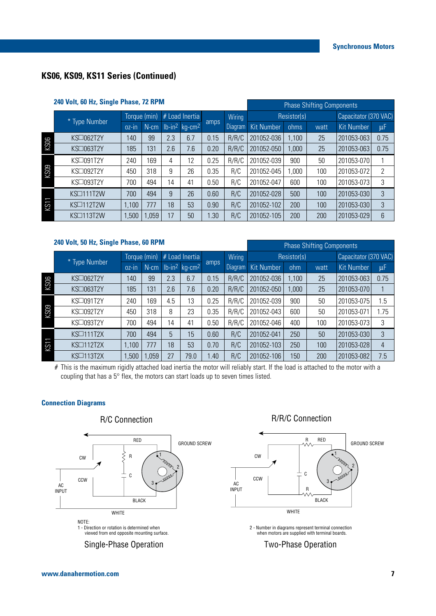## **KS06, KS09, KS11 Series (Continued)**

| 240 Volt, 60 Hz, Single Phase, 72 RPM |                    |              |       |     |                                          |      |             | <b>Phase Shifting Components</b> |       |                       |                   |      |  |
|---------------------------------------|--------------------|--------------|-------|-----|------------------------------------------|------|-------------|----------------------------------|-------|-----------------------|-------------------|------|--|
|                                       |                    | Torque (min) |       |     | # Load Inertia<br>Wiring                 |      | Resistor(s) |                                  |       | Capacitator (370 VAC) |                   |      |  |
|                                       | <b>Type Number</b> | $OZ-In$      | N-cm  |     | $lb$ -in <sup>2</sup> kg-cm <sup>2</sup> | amps | Diagram     | <b>Kit Number</b>                | ohms  | watt                  | <b>Kit Number</b> | μF   |  |
|                                       | KS□062T2Y          | 140          | 99    | 2.3 | 6.7                                      | 0.15 | R/R/C       | 201052-036                       | 1,100 | 25                    | 201053-063        | 0.75 |  |
| <b>SOS</b>                            | KS□063T2Y          | 185          | 131   | 2.6 | 7.6                                      | 0.20 | R/R/C       | 201052-050                       | 1,000 | 25                    | 201053-063        | 0.75 |  |
| <b>KS09</b>                           | KS□091T2Y          | 240          | 169   | 4   | 12                                       | 0.25 | R/R/C       | 201052-039                       | 900   | 50                    | 201053-070        |      |  |
|                                       | KS□092T2Y          | 450          | 318   | 9   | 26                                       | 0.35 | R/C         | 201052-045                       | ,000  | 100                   | 201053-072        | 2    |  |
|                                       | KS□093T2Y          | 700          | 494   | 14  | 41                                       | 0.50 | R/C         | 201052-047                       | 600   | 100                   | 201053-073        | 3    |  |
| ļ<br>KS1                              | KS□111T2W          | 700          | 494   | 9   | 26                                       | 0.60 | R/C         | 201052-028                       | 500   | 100                   | 201053-030        | 3    |  |
|                                       | KSD112T2W          | 1,100        | 777   | 18  | 53                                       | 0.90 | R/C         | 201052-102                       | 200   | 100                   | 201053-030        | 3    |  |
|                                       | KSD113T2W          | 1,500        | 1,059 | 17  | 50                                       | 1.30 | R/C         | 201052-105                       | 200   | 200                   | 201053-029        | 6    |  |

#### **240 Volt, 50 Hz, Single Phase, 60 RPM**

|          |                  |              |         |     |                                          |      |         | $\ldots$          |             |      |                       |         |  |  |
|----------|------------------|--------------|---------|-----|------------------------------------------|------|---------|-------------------|-------------|------|-----------------------|---------|--|--|
|          |                  | Torque (min) |         |     | # Load Inertia                           |      | Wiring  |                   | Resistor(s) |      | Capacitator (370 VAC) |         |  |  |
|          | * Type Number    | oz-in        | $N$ -cm |     | $lb$ -in <sup>2</sup> kg-cm <sup>2</sup> | amps | Diagram | <b>Kit Number</b> | ohm         | watt | <b>Kit Number</b>     | $\mu$ F |  |  |
| KS06     | KS□062T2Y        | 140          | 99      | 2.3 | 6.7                                      | 0.15 | R/R/C   | 201052-036        | ,100        | 25   | 201053-063            | 0.75    |  |  |
|          | KS□063T2Y        | 185          | 131     | 2.6 | 7.6                                      | 0.20 | R/R/C   | 201052-050        | 000,        | 25   | 201053-070            |         |  |  |
| KS09     | KS□091T2Y        | 240          | 169     | 4.5 | 13                                       | 0.25 | R/R/C   | 201052-039        | 900         | 50   | 201053-075            | 1.5     |  |  |
|          | KS□092T2Y        | 450          | 318     | 8   | 23                                       | 0.35 | R/R/C   | 201052-043        | 600         | 50   | 201053-071            | 1.75    |  |  |
|          | KS□093T2Y        | 700          | 494     | 14  | 41                                       | 0.50 | R/R/C   | 201052-046        | 400         | 100  | 201053-073            | 3       |  |  |
| 1<br>KS1 | <b>KS□111T2X</b> | 700          | 494     | 5   | 15                                       | 0.60 | R/C     | 201052-041        | 250         | 50   | 201053-030            | 3       |  |  |
|          | <b>KS□112T2X</b> | 1,100        | 777     | 18  | 53                                       | 0.70 | R/C     | 201052-103        | 250         | 100  | 201053-028            | 4       |  |  |
|          | KSD113T2X        | 1,500        | ,059    | 27  | 79.0                                     | 1.40 | R/C     | 201052-106        | 150         | 200  | 201053-082            | 7.5     |  |  |

# This is the maximum rigidly attached load inertia the motor will reliably start. If the load is attached to the motor with a coupling that has a 5° flex, the motors can start loads up to seven times listed.

#### **Connection Diagrams**



## R/R/C Connection

Phase Shifting Components



2 - Number in diagrams represent terminal connection when motors are supplied with terminal boards.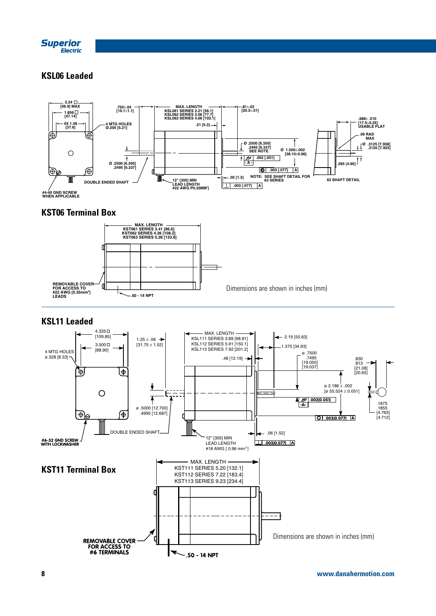

## **KSL06 Leaded**



### **KST06 Terminal Box**



### **KSL11 Leaded**